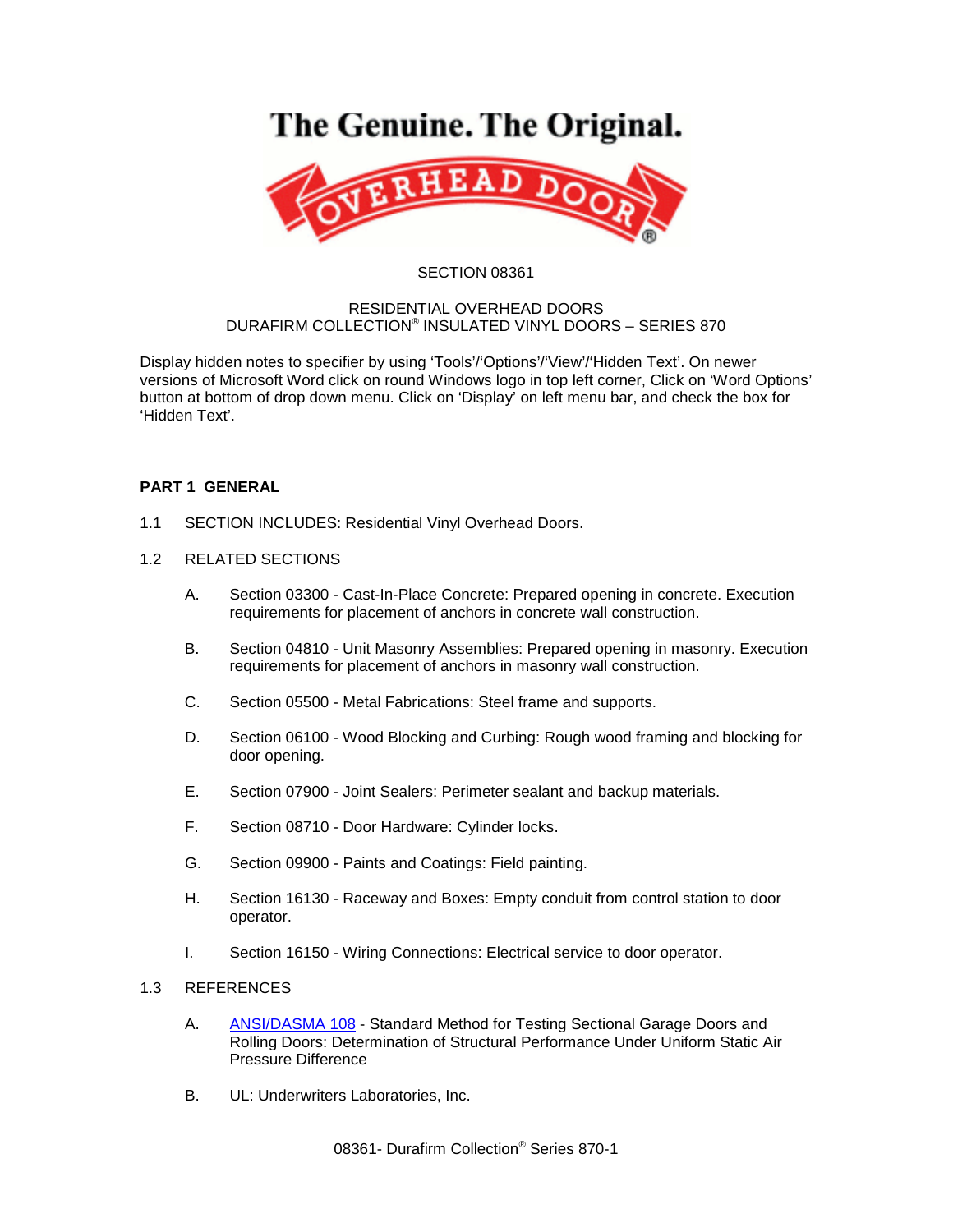# The Genuine. The Original.



#### SECTION 08361

#### RESIDENTIAL OVERHEAD DOORS DURAFIRM COLLECTION® INSULATED VINYL DOORS – SERIES 870

Display hidden notes to specifier by using 'Tools'/'Options'/'View'/'Hidden Text'. On newer versions of Microsoft Word click on round Windows logo in top left corner, Click on 'Word Options' button at bottom of drop down menu. Click on 'Display' on left menu bar, and check the box for 'Hidden Text'.

# **PART 1 GENERAL**

- 1.1 SECTION INCLUDES: Residential Vinyl Overhead Doors.
- 1.2 RELATED SECTIONS
	- A. Section 03300 Cast-In-Place Concrete: Prepared opening in concrete. Execution requirements for placement of anchors in concrete wall construction.
	- B. Section 04810 Unit Masonry Assemblies: Prepared opening in masonry. Execution requirements for placement of anchors in masonry wall construction.
	- C. Section 05500 Metal Fabrications: Steel frame and supports.
	- D. Section 06100 Wood Blocking and Curbing: Rough wood framing and blocking for door opening.
	- E. Section 07900 Joint Sealers: Perimeter sealant and backup materials.
	- F. Section 08710 Door Hardware: Cylinder locks.
	- G. Section 09900 Paints and Coatings: Field painting.
	- H. Section 16130 Raceway and Boxes: Empty conduit from control station to door operator.
	- I. Section 16150 Wiring Connections: Electrical service to door operator.

## 1.3 REFERENCES

- A. [ANSI/DASMA 108](http://www.dasma.com/PDF/Publications/Standards/108-2005.pdf) Standard Method for Testing Sectional Garage Doors and Rolling Doors: Determination of Structural Performance Under Uniform Static Air Pressure Difference
- B. UL: Underwriters Laboratories, Inc.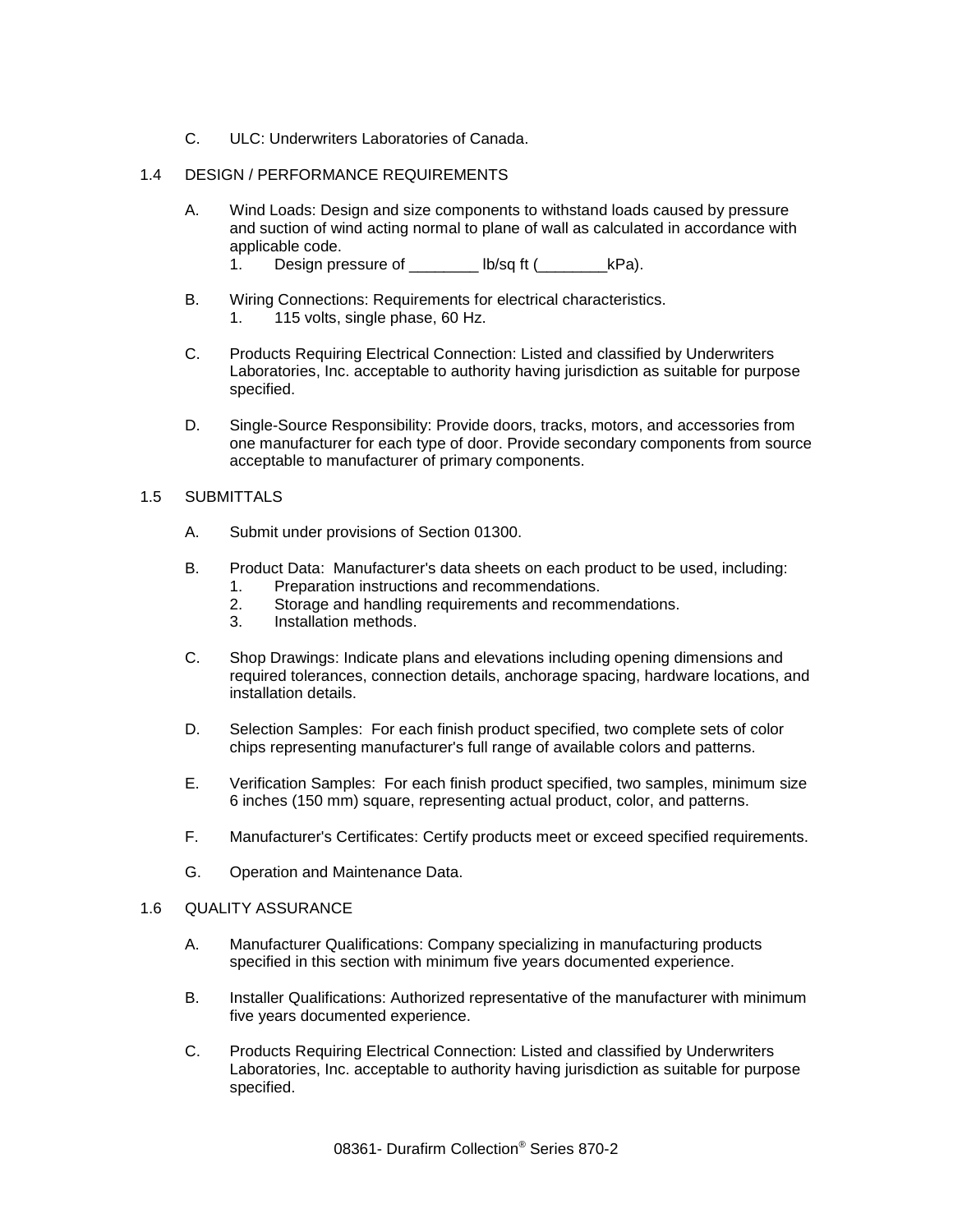C. ULC: Underwriters Laboratories of Canada.

## 1.4 DESIGN / PERFORMANCE REQUIREMENTS

- A. Wind Loads: Design and size components to withstand loads caused by pressure and suction of wind acting normal to plane of wall as calculated in accordance with applicable code.
	- 1. Design pressure of \_\_\_\_\_\_\_\_ lb/sq ft (\_\_\_\_\_\_\_\_\_kPa).
- B. Wiring Connections: Requirements for electrical characteristics. 1. 115 volts, single phase, 60 Hz.
- C. Products Requiring Electrical Connection: Listed and classified by Underwriters Laboratories, Inc. acceptable to authority having jurisdiction as suitable for purpose specified.
- D. Single-Source Responsibility: Provide doors, tracks, motors, and accessories from one manufacturer for each type of door. Provide secondary components from source acceptable to manufacturer of primary components.

#### 1.5 SUBMITTALS

- A. Submit under provisions of Section 01300.
- B. Product Data: Manufacturer's data sheets on each product to be used, including:
	- 1. Preparation instructions and recommendations.
	- 2. Storage and handling requirements and recommendations.
	- 3. Installation methods.
- C. Shop Drawings: Indicate plans and elevations including opening dimensions and required tolerances, connection details, anchorage spacing, hardware locations, and installation details.
- D. Selection Samples: For each finish product specified, two complete sets of color chips representing manufacturer's full range of available colors and patterns.
- E. Verification Samples: For each finish product specified, two samples, minimum size 6 inches (150 mm) square, representing actual product, color, and patterns.
- F. Manufacturer's Certificates: Certify products meet or exceed specified requirements.
- G. Operation and Maintenance Data.

#### 1.6 QUALITY ASSURANCE

- A. Manufacturer Qualifications: Company specializing in manufacturing products specified in this section with minimum five years documented experience.
- B. Installer Qualifications: Authorized representative of the manufacturer with minimum five years documented experience.
- C. Products Requiring Electrical Connection: Listed and classified by Underwriters Laboratories, Inc. acceptable to authority having jurisdiction as suitable for purpose specified.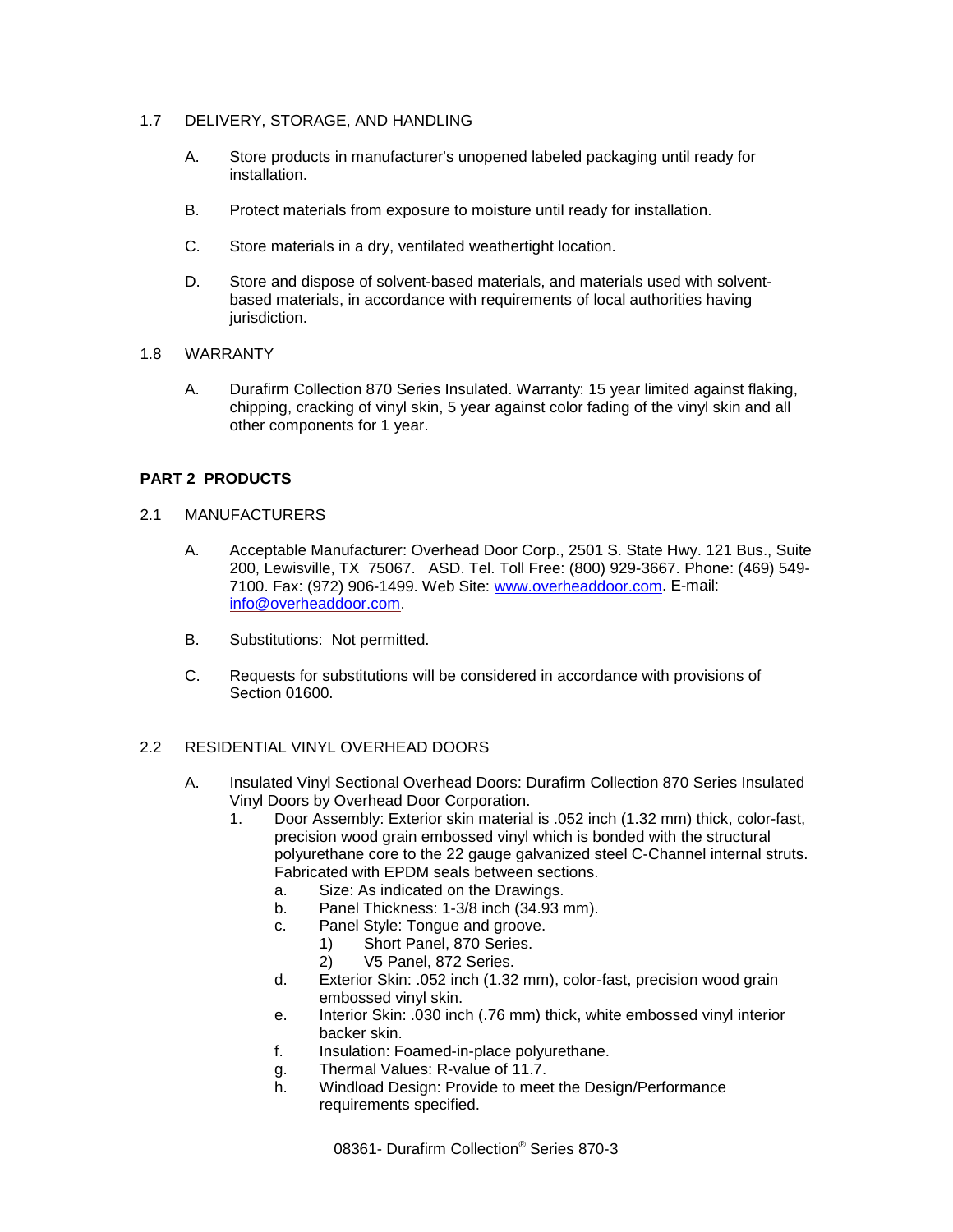## 1.7 DELIVERY, STORAGE, AND HANDLING

- A. Store products in manufacturer's unopened labeled packaging until ready for installation.
- B. Protect materials from exposure to moisture until ready for installation.
- C. Store materials in a dry, ventilated weathertight location.
- D. Store and dispose of solvent-based materials, and materials used with solventbased materials, in accordance with requirements of local authorities having jurisdiction.

## 1.8 WARRANTY

A. Durafirm Collection 870 Series Insulated. Warranty: 15 year limited against flaking, chipping, cracking of vinyl skin, 5 year against color fading of the vinyl skin and all other components for 1 year.

# **PART 2 PRODUCTS**

## 2.1 MANUFACTURERS

- A. Acceptable Manufacturer: Overhead Door Corp., 2501 S. State Hwy. 121 Bus., Suite 200, Lewisville, TX 75067. ASD. Tel. Toll Free: (800) 929-3667. Phone: (469) 549- 7100. Fax: (972) 906-1499. Web Site: [www.overheaddoor.com.](http://www.overheaddoor.com/) E-mail: [info@overheaddoor.com.](mailto:info@overheaddoor.com)
- B. Substitutions: Not permitted.
- C. Requests for substitutions will be considered in accordance with provisions of Section 01600.

# 2.2 RESIDENTIAL VINYL OVERHEAD DOORS

- A. Insulated Vinyl Sectional Overhead Doors: Durafirm Collection 870 Series Insulated Vinyl Doors by Overhead Door Corporation.
	- 1. Door Assembly: Exterior skin material is .052 inch (1.32 mm) thick, color-fast, precision wood grain embossed vinyl which is bonded with the structural polyurethane core to the 22 gauge galvanized steel C-Channel internal struts. Fabricated with EPDM seals between sections.
		- a. Size: As indicated on the Drawings.
		- b. Panel Thickness: 1-3/8 inch (34.93 mm).
		- c. Panel Style: Tongue and groove.
			- 1) Short Panel, 870 Series.
			- 2) V5 Panel, 872 Series.
		- d. Exterior Skin: .052 inch (1.32 mm), color-fast, precision wood grain embossed vinyl skin.
		- e. Interior Skin: .030 inch (.76 mm) thick, white embossed vinyl interior backer skin.
		- f. Insulation: Foamed-in-place polyurethane.
		- g. Thermal Values: R-value of 11.7.
		- h. Windload Design: Provide to meet the Design/Performance requirements specified.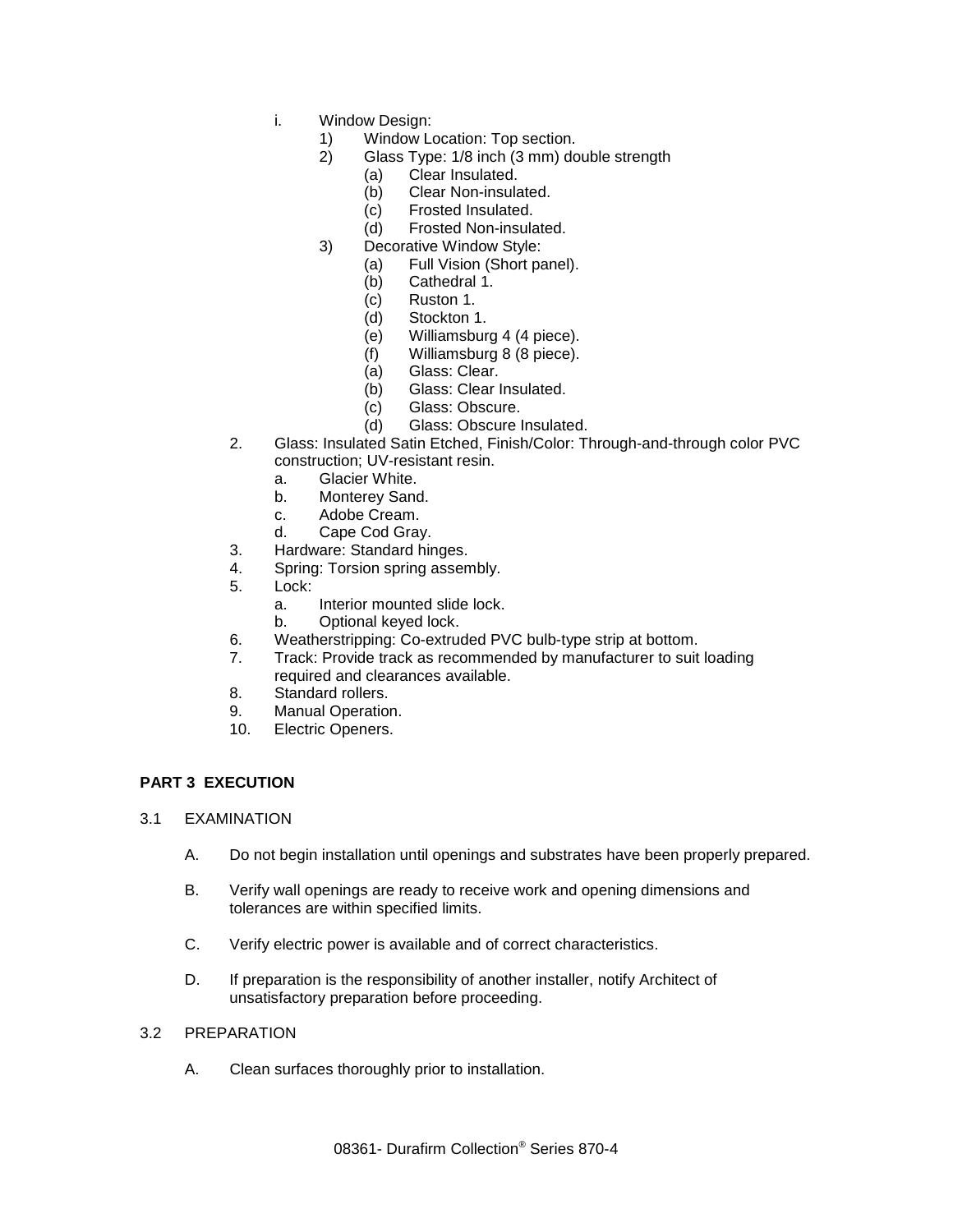- i. Window Design:
	- 1) Window Location: Top section.
	- 2) Glass Type: 1/8 inch (3 mm) double strength
		- (a) Clear Insulated.
		- (b) Clear Non-insulated.
		- (c) Frosted Insulated.
		- (d) Frosted Non-insulated.
	- 3) Decorative Window Style:
		- (a) Full Vision (Short panel).<br>(b) Cathedral 1.
		- Cathedral 1.
		- (c) Ruston 1.
		- (d) Stockton 1.
		- (e) Williamsburg 4 (4 piece).
		- (f) Williamsburg 8 (8 piece).
		- (a) Glass: Clear.
		- (b) Glass: Clear Insulated.
		- (c) Glass: Obscure.
		- (d) Glass: Obscure Insulated.
- 2. Glass: Insulated Satin Etched, Finish/Color: Through-and-through color PVC construction; UV-resistant resin.
	- a. Glacier White.
	- b. Monterey Sand.
	- c. Adobe Cream.
	- d. Cape Cod Gray.
- 3. Hardware: Standard hinges.
- 4. Spring: Torsion spring assembly.
- 5. Lock:
	- a. Interior mounted slide lock.
	- b. Optional keyed lock.
- 6. Weatherstripping: Co-extruded PVC bulb-type strip at bottom.
- Track: Provide track as recommended by manufacturer to suit loading required and clearances available.
- 8. Standard rollers.<br>9. Manual Operation
- Manual Operation.
- 10. Electric Openers.

# **PART 3 EXECUTION**

- 3.1 EXAMINATION
	- A. Do not begin installation until openings and substrates have been properly prepared.
	- B. Verify wall openings are ready to receive work and opening dimensions and tolerances are within specified limits.
	- C. Verify electric power is available and of correct characteristics.
	- D. If preparation is the responsibility of another installer, notify Architect of unsatisfactory preparation before proceeding.

#### 3.2 PREPARATION

A. Clean surfaces thoroughly prior to installation.